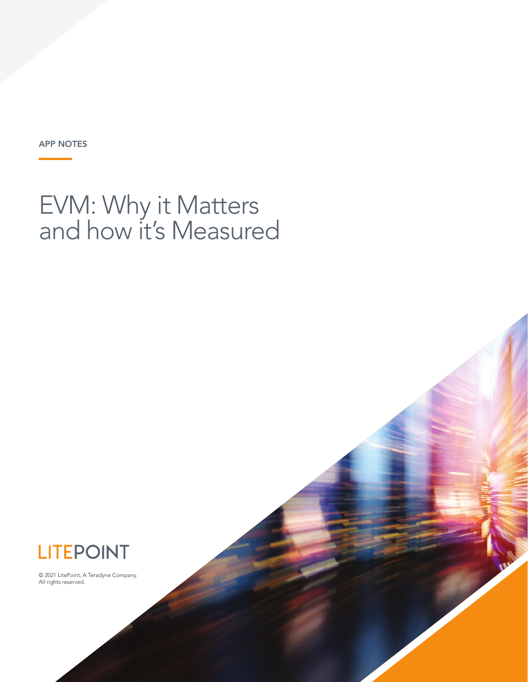APP NOTES

# EVM: Why it Matters and how it's Measured



© 2021 LitePoint, A Teradyne Company. All rights reserved.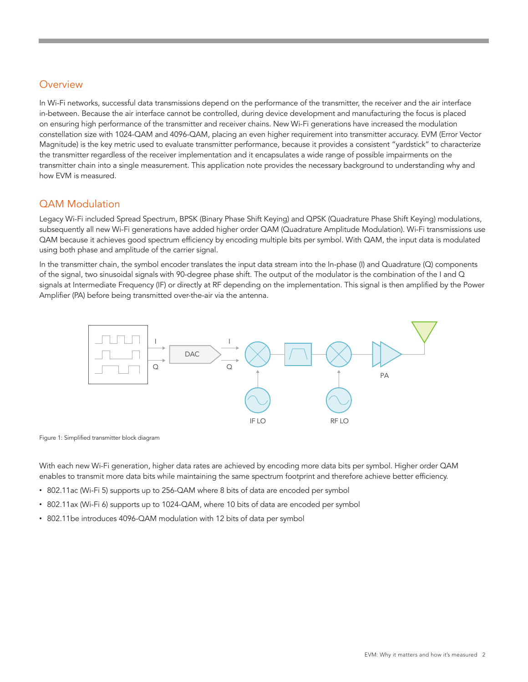#### **Overview**

In Wi-Fi networks, successful data transmissions depend on the performance of the transmitter, the receiver and the air interface in-between. Because the air interface cannot be controlled, during device development and manufacturing the focus is placed on ensuring high performance of the transmitter and receiver chains. New Wi-Fi generations have increased the modulation constellation size with 1024-QAM and 4096-QAM, placing an even higher requirement into transmitter accuracy. EVM (Error Vector Magnitude) is the key metric used to evaluate transmitter performance, because it provides a consistent "yardstick" to characterize the transmitter regardless of the receiver implementation and it encapsulates a wide range of possible impairments on the transmitter chain into a single measurement. This application note provides the necessary background to understanding why and how EVM is measured.

#### QAM Modulation

Legacy Wi-Fi included Spread Spectrum, BPSK (Binary Phase Shift Keying) and QPSK (Quadrature Phase Shift Keying) modulations, subsequently all new Wi-Fi generations have added higher order QAM (Quadrature Amplitude Modulation). Wi-Fi transmissions use QAM because it achieves good spectrum efficiency by encoding multiple bits per symbol. With QAM, the input data is modulated using both phase and amplitude of the carrier signal.

In the transmitter chain, the symbol encoder translates the input data stream into the In-phase (I) and Quadrature (Q) components of the signal, two sinusoidal signals with 90-degree phase shift. The output of the modulator is the combination of the I and Q signals at Intermediate Frequency (IF) or directly at RF depending on the implementation. This signal is then amplified by the Power Amplifier (PA) before being transmitted over-the-air via the antenna.



Figure 1: Simplified transmitter block diagram

With each new Wi-Fi generation, higher data rates are achieved by encoding more data bits per symbol. Higher order QAM enables to transmit more data bits while maintaining the same spectrum footprint and therefore achieve better efficiency.

- 802.11ac (Wi-Fi 5) supports up to 256-QAM where 8 bits of data are encoded per symbol
- 802.11ax (Wi-Fi 6) supports up to 1024-QAM, where 10 bits of data are encoded per symbol
- 802.11be introduces 4096-QAM modulation with 12 bits of data per symbol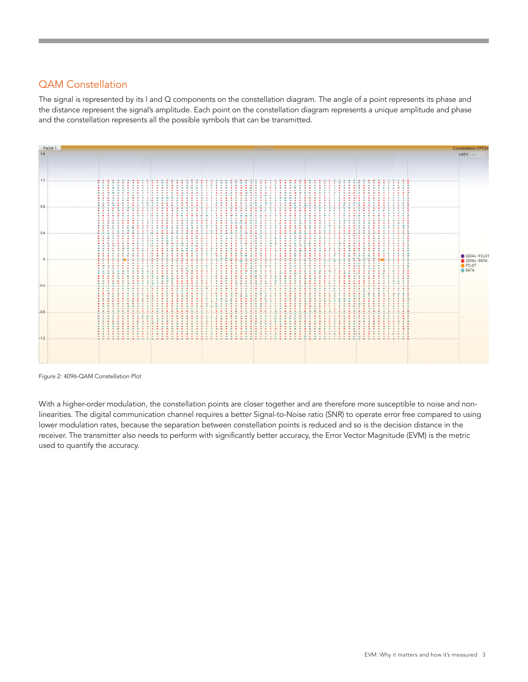### QAM Constellation

The signal is represented by its I and Q components on the constellation diagram. The angle of a point represents its phase and the distance represent the signal's amplitude. Each point on the constellation diagram represents a unique amplitude and phase and the constellation represents all the possible symbols that can be transmitted.



Figure 2: 4096-QAM Constellation Plot

With a higher-order modulation, the constellation points are closer together and are therefore more susceptible to noise and nonlinearities. The digital communication channel requires a better Signal-to-Noise ratio (SNR) to operate error free compared to using lower modulation rates, because the separation between constellation points is reduced and so is the decision distance in the receiver. The transmitter also needs to perform with significantly better accuracy, the Error Vector Magnitude (EVM) is the metric used to quantify the accuracy.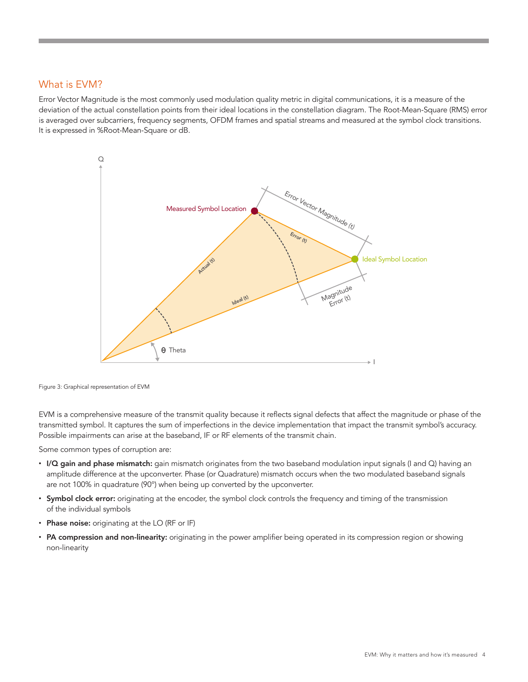#### What is EVM?

Error Vector Magnitude is the most commonly used modulation quality metric in digital communications, it is a measure of the deviation of the actual constellation points from their ideal locations in the constellation diagram. The Root-Mean-Square (RMS) error is averaged over subcarriers, frequency segments, OFDM frames and spatial streams and measured at the symbol clock transitions. It is expressed in %Root-Mean-Square or dB.



Figure 3: Graphical representation of EVM

EVM is a comprehensive measure of the transmit quality because it reflects signal defects that affect the magnitude or phase of the transmitted symbol. It captures the sum of imperfections in the device implementation that impact the transmit symbol's accuracy. Possible impairments can arise at the baseband, IF or RF elements of the transmit chain.

Some common types of corruption are:

- I/Q gain and phase mismatch: gain mismatch originates from the two baseband modulation input signals (I and Q) having an amplitude difference at the upconverter. Phase (or Quadrature) mismatch occurs when the two modulated baseband signals are not 100% in quadrature (90°) when being up converted by the upconverter.
- Symbol clock error: originating at the encoder, the symbol clock controls the frequency and timing of the transmission of the individual symbols
- Phase noise: originating at the LO (RF or IF)
- PA compression and non-linearity: originating in the power amplifier being operated in its compression region or showing non-linearity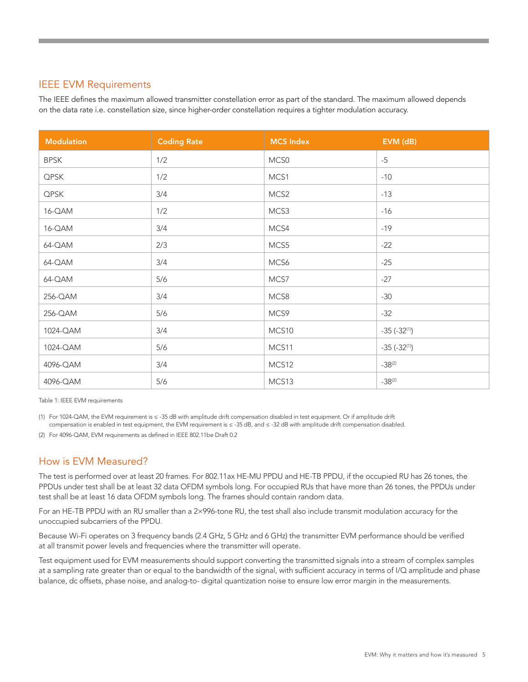#### IEEE EVM Requirements

The IEEE defines the maximum allowed transmitter constellation error as part of the standard. The maximum allowed depends on the data rate i.e. constellation size, since higher-order constellation requires a tighter modulation accuracy.

| <b>Modulation</b> | <b>Coding Rate</b> | <b>MCS Index</b> | EVM (dB)              |
|-------------------|--------------------|------------------|-----------------------|
| <b>BPSK</b>       | 1/2                | MCS0             | $-5$                  |
| QPSK              | 1/2                | MCS1             | $-10$                 |
| QPSK              | 3/4                | MCS <sub>2</sub> | $-13$                 |
| 16-QAM            | 1/2                | MCS3             | $-16$                 |
| 16-QAM            | 3/4                | MCS4             | $-19$                 |
| 64-QAM            | 2/3                | MCS5             | $-22$                 |
| 64-QAM            | 3/4                | MCS6             | $-25$                 |
| 64-QAM            | 5/6                | MCS7             | $-27$                 |
| 256-QAM           | 3/4                | MCS8             | $-30$                 |
| 256-QAM           | 5/6                | MCS9             | $-32$                 |
| 1024-QAM          | 3/4                | MCS10            | $-35$ ( $-32^{(1)}$ ) |
| 1024-QAM          | 5/6                | MCS11            | $-35$ ( $-32^{(1)}$ ) |
| 4096-QAM          | 3/4                | MCS12            | $-38^{(2)}$           |
| 4096-QAM          | 5/6                | MCS13            | $-38^{(2)}$           |

Table 1: IEEE EVM requirements

(1) For 1024-QAM, the EVM requirement is ≤ -35 dB with amplitude drift compensation disabled in test equipment. Or if amplitude drift compensation is enabled in test equipment, the EVM requirement is ≤ -35 dB, and ≤ -32 dB with amplitude drift compensation disabled.

(2) For 4096-QAM, EVM requirements as defined in IEEE 802.11be Draft 0.2

#### How is EVM Measured?

The test is performed over at least 20 frames. For 802.11ax HE-MU PPDU and HE-TB PPDU, if the occupied RU has 26 tones, the PPDUs under test shall be at least 32 data OFDM symbols long. For occupied RUs that have more than 26 tones, the PPDUs under test shall be at least 16 data OFDM symbols long. The frames should contain random data.

For an HE-TB PPDU with an RU smaller than a 2×996-tone RU, the test shall also include transmit modulation accuracy for the unoccupied subcarriers of the PPDU.

Because Wi-Fi operates on 3 frequency bands (2.4 GHz, 5 GHz and 6 GHz) the transmitter EVM performance should be verified at all transmit power levels and frequencies where the transmitter will operate.

Test equipment used for EVM measurements should support converting the transmitted signals into a stream of complex samples at a sampling rate greater than or equal to the bandwidth of the signal, with sufficient accuracy in terms of I/Q amplitude and phase balance, dc offsets, phase noise, and analog-to- digital quantization noise to ensure low error margin in the measurements.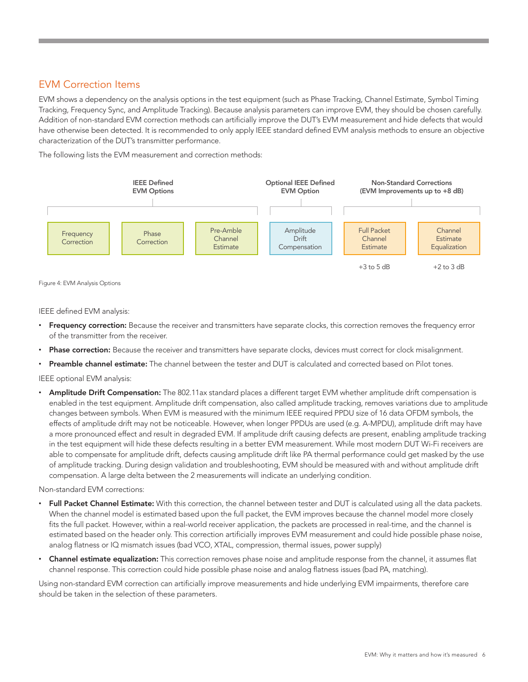#### EVM Correction Items

EVM shows a dependency on the analysis options in the test equipment (such as Phase Tracking, Channel Estimate, Symbol Timing Tracking, Frequency Sync, and Amplitude Tracking). Because analysis parameters can improve EVM, they should be chosen carefully. Addition of non-standard EVM correction methods can artificially improve the DUT's EVM measurement and hide defects that would have otherwise been detected. It is recommended to only apply IEEE standard defined EVM analysis methods to ensure an objective characterization of the DUT's transmitter performance.

The following lists the EVM measurement and correction methods:



Figure 4: EVM Analysis Options

IEEE defined EVM analysis:

- Frequency correction: Because the receiver and transmitters have separate clocks, this correction removes the frequency error of the transmitter from the receiver.
- Phase correction: Because the receiver and transmitters have separate clocks, devices must correct for clock misalignment.
- **Preamble channel estimate:** The channel between the tester and DUT is calculated and corrected based on Pilot tones.

IEEE optional EVM analysis:

• Amplitude Drift Compensation: The 802.11ax standard places a different target EVM whether amplitude drift compensation is enabled in the test equipment. Amplitude drift compensation, also called amplitude tracking, removes variations due to amplitude changes between symbols. When EVM is measured with the minimum IEEE required PPDU size of 16 data OFDM symbols, the effects of amplitude drift may not be noticeable. However, when longer PPDUs are used (e.g. A-MPDU), amplitude drift may have a more pronounced effect and result in degraded EVM. If amplitude drift causing defects are present, enabling amplitude tracking in the test equipment will hide these defects resulting in a better EVM measurement. While most modern DUT Wi-Fi receivers are able to compensate for amplitude drift, defects causing amplitude drift like PA thermal performance could get masked by the use of amplitude tracking. During design validation and troubleshooting, EVM should be measured with and without amplitude drift compensation. A large delta between the 2 measurements will indicate an underlying condition.

Non-standard EVM corrections:

- Full Packet Channel Estimate: With this correction, the channel between tester and DUT is calculated using all the data packets. When the channel model is estimated based upon the full packet, the EVM improves because the channel model more closely fits the full packet. However, within a real-world receiver application, the packets are processed in real-time, and the channel is estimated based on the header only. This correction artificially improves EVM measurement and could hide possible phase noise, analog flatness or IQ mismatch issues (bad VCO, XTAL, compression, thermal issues, power supply)
- Channel estimate equalization: This correction removes phase noise and amplitude response from the channel, it assumes flat channel response. This correction could hide possible phase noise and analog flatness issues (bad PA, matching).

Using non-standard EVM correction can artificially improve measurements and hide underlying EVM impairments, therefore care should be taken in the selection of these parameters.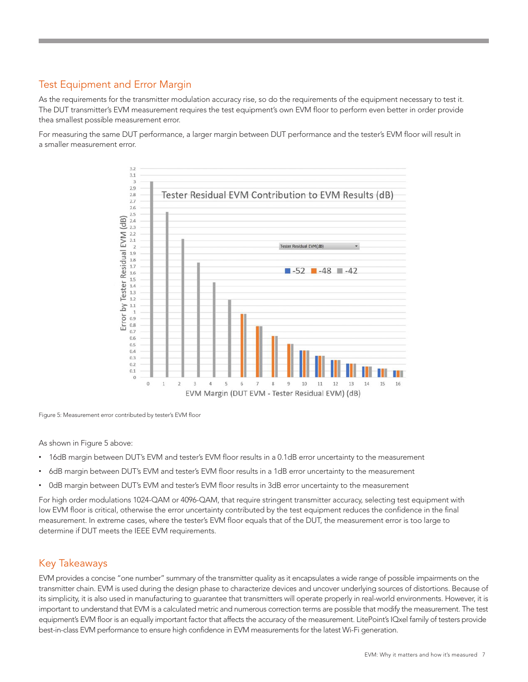## Test Equipment and Error Margin

As the requirements for the transmitter modulation accuracy rise, so do the requirements of the equipment necessary to test it. The DUT transmitter's EVM measurement requires the test equipment's own EVM floor to perform even better in order provide thea smallest possible measurement error.

For measuring the same DUT performance, a larger margin between DUT performance and the tester's EVM floor will result in a smaller measurement error.



Figure 5: Measurement error contributed by tester's EVM floor

As shown in Figure 5 above:

- 16dB margin between DUT's EVM and tester's EVM floor results in a 0.1dB error uncertainty to the measurement
- 6dB margin between DUT's EVM and tester's EVM floor results in a 1dB error uncertainty to the measurement
- 0dB margin between DUT's EVM and tester's EVM floor results in 3dB error uncertainty to the measurement

For high order modulations 1024-QAM or 4096-QAM, that require stringent transmitter accuracy, selecting test equipment with low EVM floor is critical, otherwise the error uncertainty contributed by the test equipment reduces the confidence in the final measurement. In extreme cases, where the tester's EVM floor equals that of the DUT, the measurement error is too large to determine if DUT meets the IEEE EVM requirements.

#### Key Takeaways

EVM provides a concise "one number" summary of the transmitter quality as it encapsulates a wide range of possible impairments on the transmitter chain. EVM is used during the design phase to characterize devices and uncover underlying sources of distortions. Because of its simplicity, it is also used in manufacturing to guarantee that transmitters will operate properly in real-world environments. However, it is important to understand that EVM is a calculated metric and numerous correction terms are possible that modify the measurement. The test equipment's EVM floor is an equally important factor that affects the accuracy of the measurement. LitePoint's IQxel family of testers provide best-in-class EVM performance to ensure high confidence in EVM measurements for the latest Wi-Fi generation.